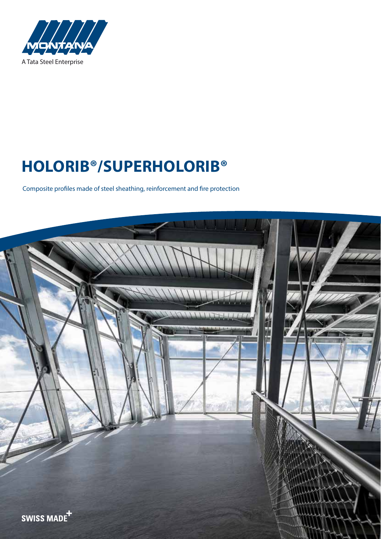

# **HOLORIB®/SUPERHOLORIB®**

Composite profiles made of steel sheathing, reinforcement and fire protection

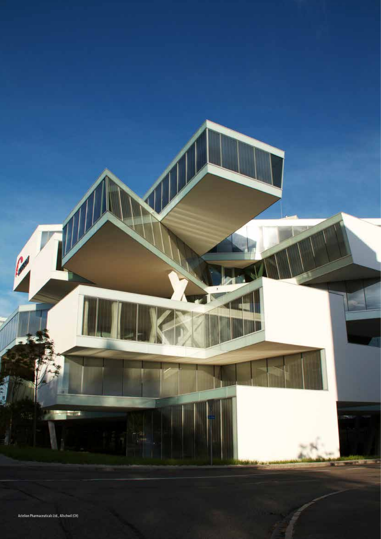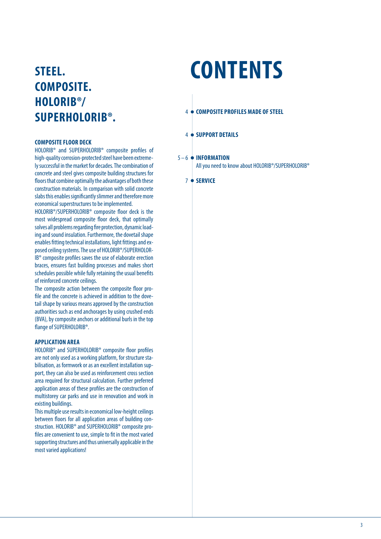# **COMPOSITE. HOLORIB®/ SUPERHOLORIB®.** <sup>4</sup> **COMPOSITE PROFILES MADE OF STEEL**

#### **COMPOSITE FLOOR DECK**

HOLORIB® and SUPERHOLORIB® composite profiles of high-quality corrosion-protected steel have been extremely successful in the market for decades. The combination of concrete and steel gives composite building structures for floors that combine optimally the advantages of both these construction materials. In comparison with solid concrete slabs this enables significantly slimmer and therefore more economical superstructures to be implemented.

HOLORIB®/SUPERHOLORIB® composite floor deck is the most widespread composite floor deck, that optimally solves all problems regarding fire protection, dynamic loading and sound insulation. Furthermore, the dovetail shape enables fitting technical installations, light fittings and exposed ceiling systems. The use of HOLORIB®/SUPERHOLOR-IB® composite profiles saves the use of elaborate erection braces, ensures fast building processes and makes short schedules possible while fully retaining the usual benefits of reinforced concrete ceilings.

The composite action between the composite floor profile and the concrete is achieved in addition to the dovetail shape by various means approved by the construction authorities such as end anchorages by using crushed ends (BVA), by composite anchors or additional burls in the top flange of SUPERHOLORIB®.

#### **APPLICATION AREA**

HOLORIB® and SUPERHOLORIB® composite floor profiles are not only used as a working platform, for structure stabilisation, as formwork or as an excellent installation support, they can also be used as reinforcement cross section area required for structural calculation. Further preferred application areas of these profiles are the construction of multistorey car parks and use in renovation and work in existing buildings.

This multiple use results in economical low-height ceilings between floors for all application areas of building construction. HOLORIB® and SUPERHOLORIB® composite profiles are convenient to use, simple to fit in the most varied supporting structures and thus universally applicable in the most varied applications!

# **STEEL. CONTENTS**

#### 4 **SUPPORT DETAILS**

## **5–6 ● INFORMATION**

All you need to know about HOLORIB®/SUPERHOLORIB®

7 **SERVICE**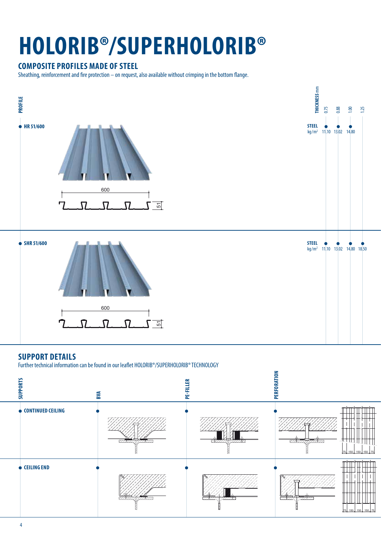# **HOLORIB®/SUPERHOLORIB®**

### **COMPOSITE PROFILES MADE OF STEEL**

Sheathing, reinforcement and fire protection – on request, also available without crimping in the bottom flange.



### **SUPPORT DETAILS**

Further technical information can be found in our leaflet HOLORIB®/SUPERHOLORIB® TECHNOLOGY

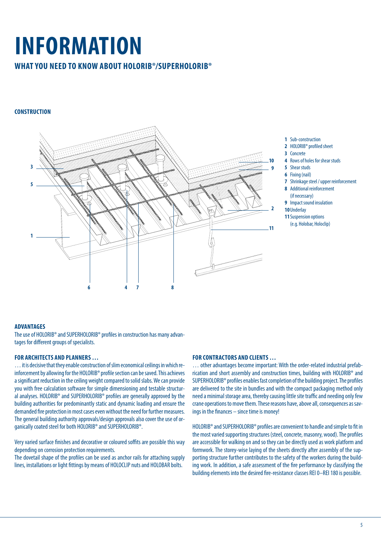# **INFORMATION**

### **WHAT YOU NEED TO KNOW ABOUT HOLORIB®/SUPERHOLORIB®**

#### **CONSTRUCTION**



**1** Sub-construction

- **2** HOLORIB® profiled sheet
- **3** Concrete
- **4** Rows of holes for shear studs
- **5** Shear studs
- **6** Fixing (nail)
- **7** Shrinkage steel / upper reinforcement
- **8** Additional reinforcement (if necessary)
- **9** Impact sound insulation
- **10**Underlay
- **11**Suspension options (e.g. Holobar, Holoclip)

#### **ADVANTAGES**

The use of HOLORIB® and SUPERHOLORIB® profiles in construction has many advantages for different groups of specialists.

#### **FOR ARCHITECTS AND PLANNERS …**

… it is decisive that they enable construction of slim economical ceilings in which reinforcement by allowing for the HOLORIB® profile section can be saved. This achieves a significant reduction in the ceiling weight compared to solid slabs. We can provide you with free calculation software for simple dimensioning and testable structural analyses. HOLORIB® and SUPERHOLORIB® profiles are generally approved by the building authorities for predominantly static and dynamic loading and ensure the demanded fire protection in most cases even without the need for further measures. The general building authority approvals/design approvals also cover the use of organically coated steel for both HOLORIB® and SUPERHOLORIB®.

Very varied surface finishes and decorative or coloured soffits are possible this way depending on corrosion protection requirements.

The dovetail shape of the profiles can be used as anchor rails for attaching supply lines, installations or light fittings by means of HOLOCLIP nuts and HOLOBAR bolts.

#### **FOR CONTRACTORS AND CLIENTS …**

… other advantages become important: With the order-related industrial prefabrication and short assembly and construction times, building with HOLORIB® and SUPERHOLORIB® profiles enables fast completion of the building project. The profiles are delivered to the site in bundles and with the compact packaging method only need a minimal storage area, thereby causing little site traffic and needing only few crane operations to move them. These reasons have, above all, consequences as savings in the finances – since time is money!

HOLORIB® and SUPERHOLORIB® profiles are convenient to handle and simple to fit in the most varied supporting structures (steel, concrete, masonry, wood). The profiles are accessible for walking on and so they can be directly used as work platform and formwork. The storey-wise laying of the sheets directly after assembly of the supporting structure further contributes to the safety of the workers during the building work. In addition, a safe assessment of the fire performance by classifying the building elements into the desired fire-resistance classes REI 0–REI 180 is possible.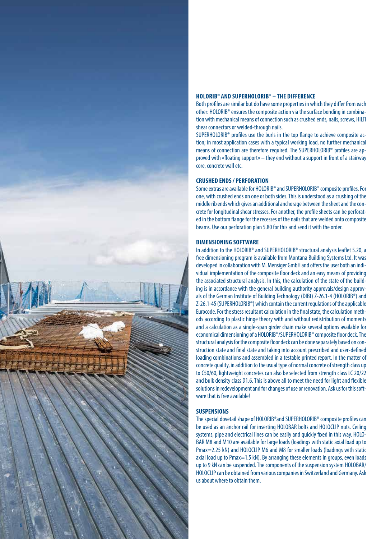

#### **HOLORIB® AND SUPERHOLORIB® – THE DIFFERENCE**

Both profiles are similar but do have some properties in which they differ from each other: HOLORIB® ensures the composite action via the surface bonding in combina tion with mechanical means of connection such as crushed ends, nails, screws, HILTI shear connectors or welded-through nails.

SUPERHOLORIB<sup>®</sup> profiles use the burls in the top flange to achieve composite action; in most application cases with a typical working load, no further mechanical means of connection are therefore required. The SUPERHOLORIB® profiles are ap proved with «floating support» – they end without a support in front of a stairway core, concrete wall etc.

#### **CRUSHED ENDS / PERFORATION**

Some extras are available for HOLORIB® and SUPERHOLORIB® composite profiles. For one, with crushed ends on one or both sides. This is understood as a crushing of the middle rib ends which gives an additional anchorage between the sheet and the con crete for longitudinal shear stresses. For another, the profile sheets can be perforat ed in the bottom flange for the recesses of the nails that are welded onto composite beams. Use our perforation plan 5.80 for this and send it with the order.

#### **DIMENSIONING SOFTWARE**

In addition to the HOLORIB® and SUPERHOLORIB® structural analysis leaflet 5.20, a free dimensioning program is available from Montana Building Systems Ltd. It was developed in collaboration with M. Mensiger GmbH and offers the user both an indi vidual implementation of the composite floor deck and an easy means of providing the associated structural analysis. In this, the calculation of the state of the build ing is in accordance with the general building authority approvals/design approv als of the German Institute of Building Technology (DIBt) Z-26.1-4 (HOLORIB®) and Z-26.1-45 (SUPERHOLORIB®) which contain the current regulations of the applicable Eurocode. For the stress resultant calculation in the final state, the calculation meth ods according to plastic hinge theory with and without redistribution of moments and a calculation as a single-span girder chain make several options available for economical dimensioning of a HOLORIB®/SUPERHOLORIB® composite floor deck. The structural analysis for the composite floor deck can be done separately based on con struction state and final state and taking into account prescribed and user-defined loading combinations and assembled in a testable printed report. In the matter of concrete quality, in addition to the usual type of normal concrete of strength class up to C50/60, lightweight concretes can also be selected from strength class LC 20/22 and bulk density class D1.6. This is above all to meet the need for light and flexible solutions in redevelopment and for changes of use or renovation. Ask us for this soft ware that is free available!

#### **SUSPENSIONS**

The special dovetail shape of HOLORIB®and SUPERHOLORIB® composite profiles can be used as an anchor rail for inserting HOLOBAR bolts and HOLOCLIP nuts. Ceiling systems, pipe and electrical lines can be easily and quickly fixed in this way. HOLO - BAR M8 and M10 are available for large loads (loadings with static axial load up to Pmax=2.25 kN) and HOLOCLIP M6 and M8 for smaller loads (loadings with static axial load up to Pmax=1.5 kN). By arranging these elements in groups, even loads up to 9 kN can be suspended. The components of the suspension system HOLOBAR/ HOLOCLIP can be obtained from various companies in Switzerland and Germany. Ask us about where to obtain them.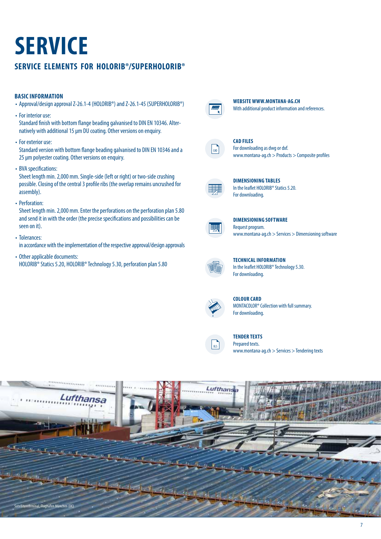# **SERVICE**

## **SERVICE ELEMENTS FOR HOLORIB®/SUPERHOLORIB®**

#### **BASIC INFORMATION**

- Approval/design approval Z-26.1-4 (HOLORIB®) and Z-26.1-45 (SUPERHOLORIB®)
- For interior use:

Standard finish with bottom flange beading galvanised to DIN EN 10346. Alternatively with additional 15 µm DU coating. Other versions on enquiry.

• For exterior use:

Standard version with bottom flange beading galvanised to DIN EN 10346 and a 25 µm polyester coating. Other versions on enquiry.

• BVA specifications:

Sheet length min. 2,000 mm. Single-side (left or right) or two-side crushing possible. Closing of the central 3 profile ribs (the overlap remains uncrushed for assembly).

• Perforation:

Sheet length min. 2,000 mm. Enter the perforations on the perforation plan 5.80 and send it in with the order (the precise specifications and possibilities can be seen on it).

• Tolerances:

in accordance with the implementation of the respective approval/design approvals

• Other applicable documents: HOLORIB® Statics 5.20, HOLORIB® Technology 5.30, perforation plan 5.80



**WEBSITE WWW.MONTANA-AG.CH** With additional product information and references.



**CAD FILES** For downloading as dwg or dxf. www.montana-ag.ch > Products > Composite profiles



**DIMENSIONING TABLES** In the leaflet HOLORIB® Statics 5.20. For downloading.



**DIMENSIONING SOFTWARE** Request program. www.montana-ag.ch > Services > Dimensioning software



**TECHNICAL INFORMATION** In the leaflet HOLORIB® Technology 5.30. For downloading.



**COLOUR CARD** MONTACOLOR® Collection with full summary. For downloading.



**TENDER TEXTS** Prepared texts.

www.montana-ag.ch > Services > Tendering texts